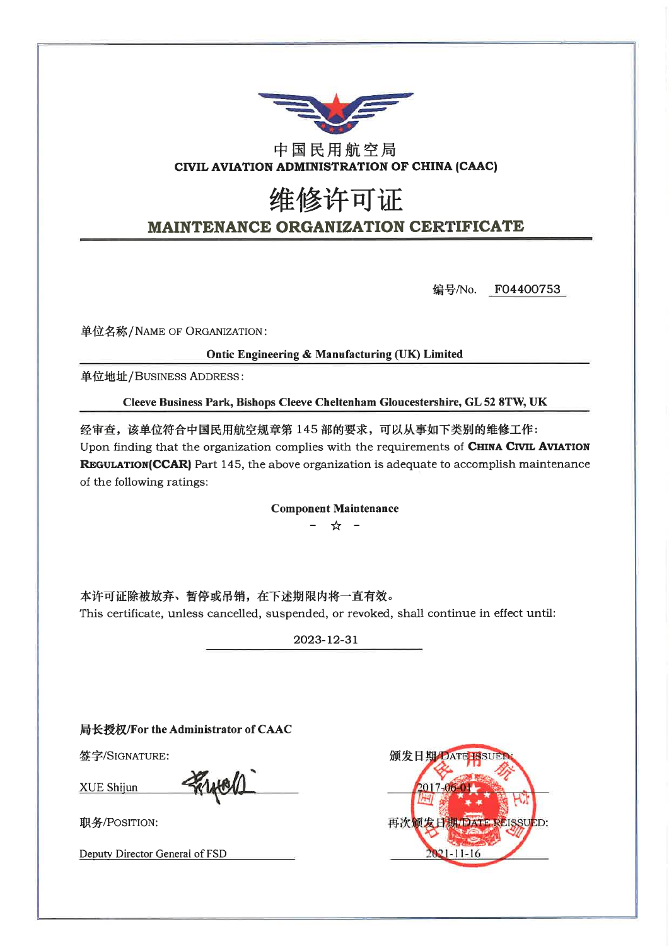

### 中国民用航空局 CIVIL AVIATION ADMINISTRATION OF CHINA (CAAC)

# 维修许可证 **MAINTENANCE ORGANIZATION CERTIFICATE**

F04400753 编号/No.

单位名称/NAME OF ORGANIZATION:

Ontic Engineering & Manufacturing (UK) Limited

单位地址/BUSINESS ADDRESS:

Cleeve Business Park, Bishops Cleeve Cheltenham Gloucestershire, GL 52 8TW, UK

经审查,该单位符合中国民用航空规章第145部的要求,可以从事如下类别的维修工作: Upon finding that the organization complies with the requirements of CHINA CIVIL AVIATION **REGULATION(CCAR)** Part 145, the above organization is adequate to accomplish maintenance of the following ratings:

**Component Maintenance** 

☆ -

本许可证除被放弃、暂停或吊销,在下述期限内将一直有效。 This certificate, unless cancelled, suspended, or revoked, shall continue in effect until:

2023-12-31

局长授权/For the Administrator of CAAC

签字/SIGNATURE:

**XUE Shijun** 

PRIHOL

职务/POSITION:

Deputy Director General of FSD

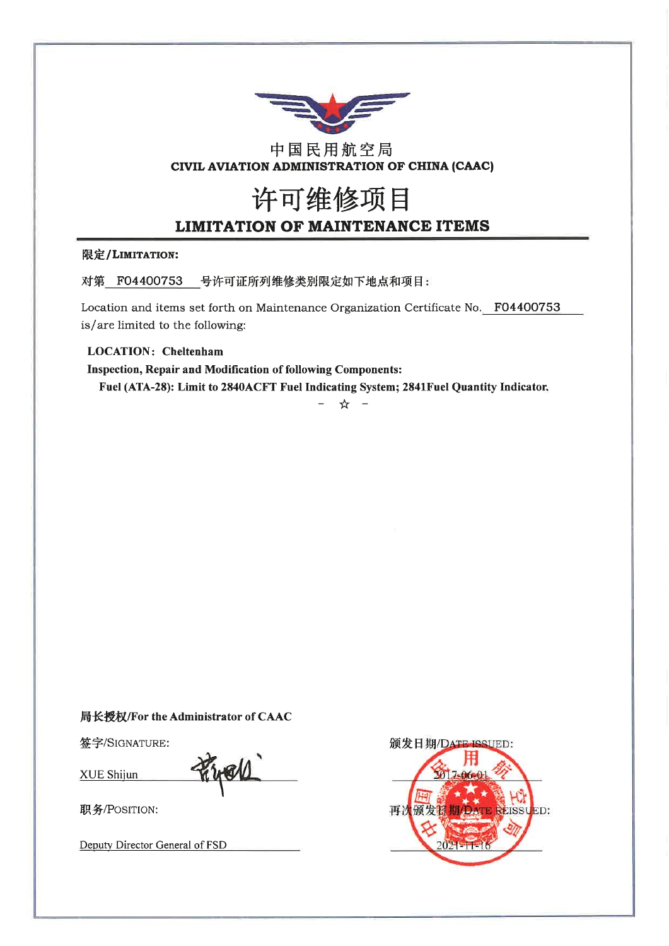

### 中国民用航空局 CIVIL AVIATION ADMINISTRATION OF CHINA (CAAC)

# 许可维修项目 **LIMITATION OF MAINTENANCE ITEMS**

#### 限定/LIMITATION:

对第 F04400753 号许可证所列维修类别限定如下地点和项目:

Location and items set forth on Maintenance Organization Certificate No. F04400753 is/are limited to the following:

#### **LOCATION: Cheltenham**

**Inspection, Repair and Modification of following Components:** Fuel (ATA-28): Limit to 2840ACFT Fuel Indicating System; 2841Fuel Quantity Indicator.

☆

#### 局长授权/For the Administrator of CAAC

签字/SIGNATURE:

XUE Shijun

worr

职务/POSITION:

Deputy Director General of FSD

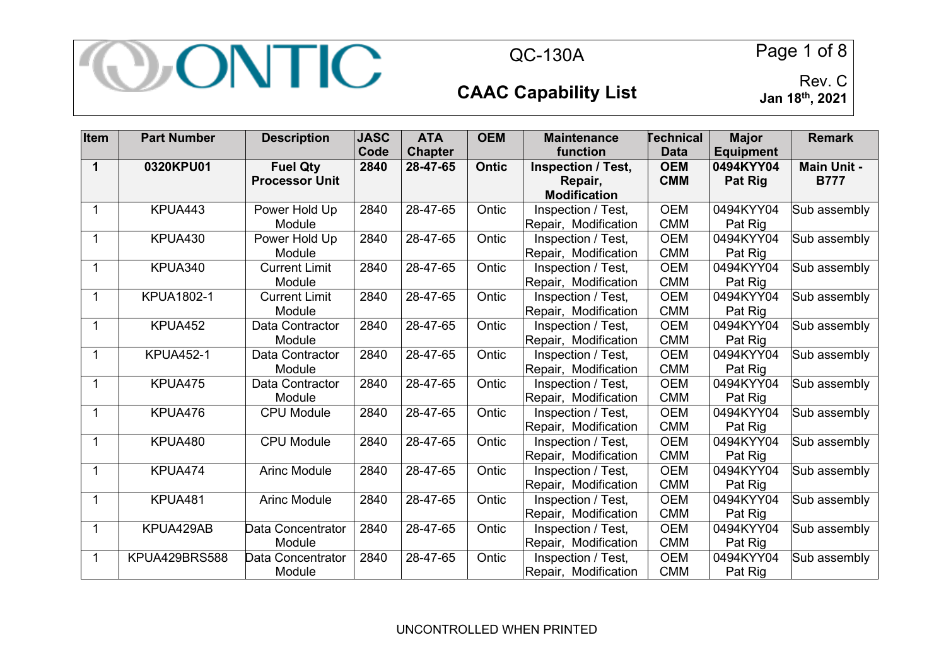

QC-130A Page 1 of 8

### **CAAC Capability List**

**Jan 18th, 2021**

| Item         | <b>Part Number</b> | <b>Description</b>    | <b>JASC</b> | <b>ATA</b>     | <b>OEM</b>   | <b>Maintenance</b>        | <b>Technical</b> | <b>Major</b>     | <b>Remark</b>      |
|--------------|--------------------|-----------------------|-------------|----------------|--------------|---------------------------|------------------|------------------|--------------------|
|              |                    |                       | Code        | <b>Chapter</b> |              | function                  | <b>Data</b>      | <b>Equipment</b> |                    |
| 1            | 0320KPU01          | <b>Fuel Qty</b>       | 2840        | 28-47-65       | <b>Ontic</b> | <b>Inspection / Test,</b> | <b>OEM</b>       | 0494KYY04        | <b>Main Unit -</b> |
|              |                    | <b>Processor Unit</b> |             |                |              | Repair,                   | <b>CMM</b>       | <b>Pat Rig</b>   | <b>B777</b>        |
|              |                    |                       |             |                |              | <b>Modification</b>       |                  |                  |                    |
| 1            | KPUA443            | Power Hold Up         | 2840        | 28-47-65       | Ontic        | Inspection / Test,        | <b>OEM</b>       | 0494KYY04        | Sub assembly       |
|              |                    | Module                |             |                |              | Repair, Modification      | <b>CMM</b>       | Pat Rig          |                    |
| 1            | KPUA430            | Power Hold Up         | 2840        | 28-47-65       | Ontic        | Inspection / Test,        | <b>OEM</b>       | 0494KYY04        | Sub assembly       |
|              |                    | Module                |             |                |              | Repair, Modification      | <b>CMM</b>       | Pat Rig          |                    |
| $\mathbf{1}$ | KPUA340            | <b>Current Limit</b>  | 2840        | 28-47-65       | Ontic        | Inspection / Test,        | <b>OEM</b>       | 0494KYY04        | Sub assembly       |
|              |                    | Module                |             |                |              | Repair, Modification      | <b>CMM</b>       | Pat Rig          |                    |
| $\mathbf{1}$ | <b>KPUA1802-1</b>  | <b>Current Limit</b>  | 2840        | 28-47-65       | Ontic        | Inspection / Test,        | <b>OEM</b>       | 0494KYY04        | Sub assembly       |
|              |                    | Module                |             |                |              | Repair, Modification      | <b>CMM</b>       | Pat Rig          |                    |
| 1            | KPUA452            | Data Contractor       | 2840        | 28-47-65       | Ontic        | Inspection / Test,        | <b>OEM</b>       | 0494KYY04        | Sub assembly       |
|              |                    | Module                |             |                |              | Repair, Modification      | <b>CMM</b>       | Pat Rig          |                    |
|              | <b>KPUA452-1</b>   | Data Contractor       | 2840        | 28-47-65       | Ontic        | Inspection / Test,        | <b>OEM</b>       | 0494KYY04        | Sub assembly       |
|              |                    | Module                |             |                |              | Repair, Modification      | <b>CMM</b>       | Pat Rig          |                    |
| $\mathbf{1}$ | KPUA475            | Data Contractor       | 2840        | 28-47-65       | Ontic        | Inspection / Test,        | <b>OEM</b>       | 0494KYY04        | Sub assembly       |
|              |                    | Module                |             |                |              | Repair, Modification      | <b>CMM</b>       | Pat Rig          |                    |
| $\mathbf{1}$ | KPUA476            | <b>CPU Module</b>     | 2840        | 28-47-65       | Ontic        | Inspection / Test,        | <b>OEM</b>       | 0494KYY04        | Sub assembly       |
|              |                    |                       |             |                |              | Repair, Modification      | <b>CMM</b>       | Pat Rig          |                    |
| 1            | KPUA480            | <b>CPU Module</b>     | 2840        | 28-47-65       | Ontic        | Inspection / Test,        | <b>OEM</b>       | 0494KYY04        | Sub assembly       |
|              |                    |                       |             |                |              | Repair, Modification      | <b>CMM</b>       | Pat Rig          |                    |
| 1            | KPUA474            | <b>Arinc Module</b>   | 2840        | 28-47-65       | Ontic        | Inspection / Test,        | <b>OEM</b>       | 0494KYY04        | Sub assembly       |
|              |                    |                       |             |                |              | Repair, Modification      | <b>CMM</b>       | Pat Rig          |                    |
| $\mathbf{1}$ | KPUA481            | <b>Arinc Module</b>   | 2840        | 28-47-65       | Ontic        | Inspection / Test,        | <b>OEM</b>       | 0494KYY04        | Sub assembly       |
|              |                    |                       |             |                |              | Repair, Modification      | <b>CMM</b>       | Pat Rig          |                    |
| $\mathbf{1}$ | KPUA429AB          | Data Concentrator     | 2840        | 28-47-65       | Ontic        | Inspection / Test,        | <b>OEM</b>       | 0494KYY04        | Sub assembly       |
|              |                    | Module                |             |                |              | Repair, Modification      | <b>CMM</b>       | Pat Rig          |                    |
| 1            | KPUA429BRS588      | Data Concentrator     | 2840        | 28-47-65       | Ontic        | Inspection / Test,        | <b>OEM</b>       | 0494KYY04        | Sub assembly       |
|              |                    | Module                |             |                |              | Repair, Modification      | <b>CMM</b>       | Pat Rig          |                    |

UNCONTROLLED WHEN PRINTED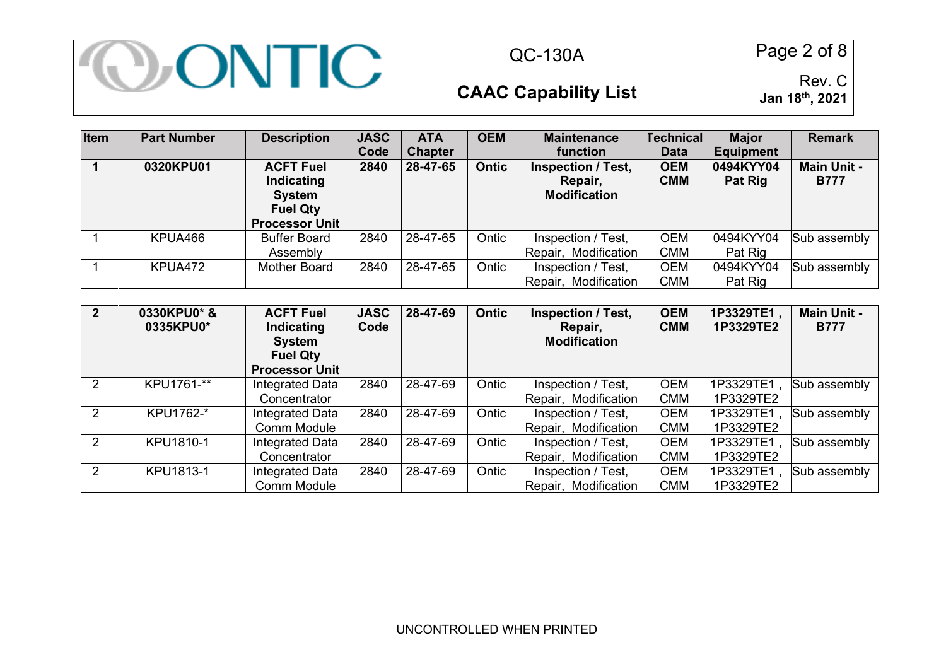

QC-130A Page 2 of 8

### **CAAC Capability List**

| <b>Item</b> | <b>Part Number</b> | <b>Description</b>                                                                          | <b>JASC</b><br>Code | <b>ATA</b><br><b>Chapter</b> | <b>OEM</b>   | <b>Maintenance</b><br><b>function</b>                | <b>Technical</b><br><b>Data</b> | <b>Major</b><br><b>Equipment</b> | <b>Remark</b>                     |
|-------------|--------------------|---------------------------------------------------------------------------------------------|---------------------|------------------------------|--------------|------------------------------------------------------|---------------------------------|----------------------------------|-----------------------------------|
|             | 0320KPU01          | <b>ACFT Fuel</b><br>Indicating<br><b>System</b><br><b>Fuel Qty</b><br><b>Processor Unit</b> | 2840                | 28-47-65                     | <b>Ontic</b> | Inspection / Test,<br>Repair,<br><b>Modification</b> | <b>OEM</b><br><b>CMM</b>        | 0494KYY04<br>Pat Rig             | <b>Main Unit -</b><br><b>B777</b> |
|             | KPUA466            | <b>Buffer Board</b><br>Assembly                                                             | 2840                | 28-47-65                     | Ontic        | Inspection / Test,<br>Repair, Modification           | <b>OEM</b><br><b>CMM</b>        | 0494KYY04<br>Pat Rig             | Sub assembly                      |
|             | KPUA472            | Mother Board                                                                                | 2840                | 28-47-65                     | Ontic        | Inspection / Test,<br>Repair, Modification           | OEM<br>CMM                      | 0494KYY04<br>Pat Rig             | Sub assembly                      |

| $\overline{2}$ | 0330KPU0* &<br>0335KPU0* | <b>ACFT Fuel</b><br>Indicating<br><b>System</b><br><b>Fuel Qty</b><br><b>Processor Unit</b> | <b>JASC</b><br>Code | 28-47-69 | <b>Ontic</b> | <b>Inspection / Test,</b><br>Repair,<br><b>Modification</b> | <b>OEM</b><br><b>CMM</b> | 1P3329TE1,<br>1P3329TE2 | <b>Main Unit -</b><br><b>B777</b> |
|----------------|--------------------------|---------------------------------------------------------------------------------------------|---------------------|----------|--------------|-------------------------------------------------------------|--------------------------|-------------------------|-----------------------------------|
|                | KPU1761-**               | Integrated Data                                                                             | 2840                | 28-47-69 | Ontic        | Inspection / Test,                                          | <b>OEM</b>               | 1P3329TE1               | Sub assembly                      |
|                |                          | Concentrator                                                                                |                     |          |              | Repair, Modification                                        | <b>CMM</b>               | 1P3329TE2               |                                   |
| 2              | KPU1762-*                | Integrated Data                                                                             | 2840                | 28-47-69 | Ontic        | Inspection / Test,                                          | <b>OEM</b>               | 1P3329TE1               | Sub assembly                      |
|                |                          | Comm Module                                                                                 |                     |          |              | Repair, Modification                                        | <b>CMM</b>               | 1P3329TE2               |                                   |
| $\mathcal{P}$  | KPU1810-1                | Integrated Data                                                                             | 2840                | 28-47-69 | Ontic        | Inspection / Test,                                          | <b>OEM</b>               | 1P3329TE1               | Sub assembly                      |
|                |                          | Concentrator                                                                                |                     |          |              | Repair, Modification                                        | <b>CMM</b>               | 1P3329TE2               |                                   |
| $\mathcal{P}$  | KPU1813-1                | Integrated Data                                                                             | 2840                | 28-47-69 | Ontic        | Inspection / Test,                                          | <b>OEM</b>               | 1P3329TE1               | Sub assembly                      |
|                |                          | Comm Module                                                                                 |                     |          |              | Repair, Modification                                        | <b>CMM</b>               | 1P3329TE2               |                                   |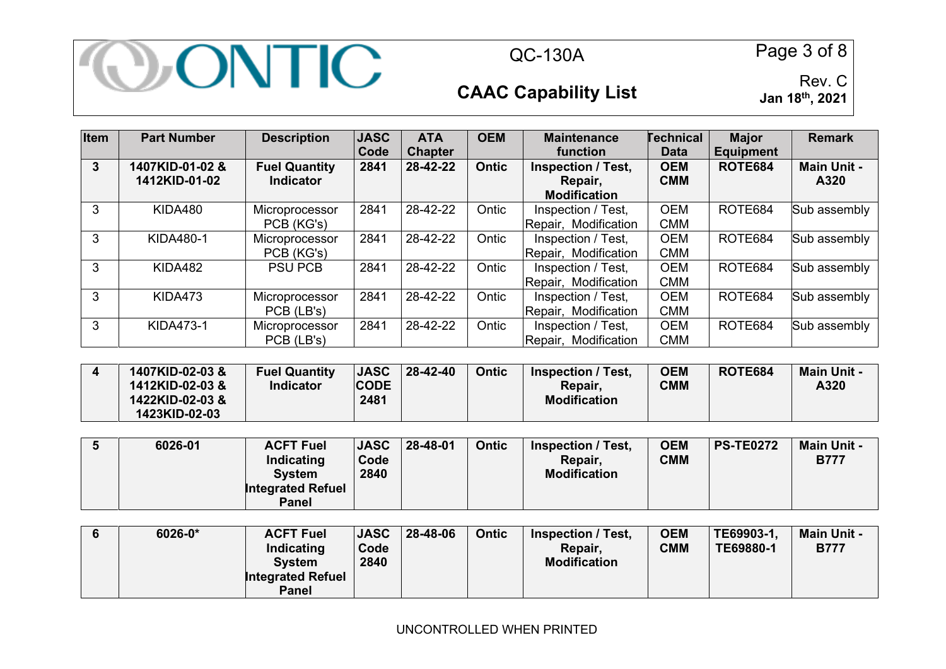

QC-130A Page 3 of 8

# **CAAC Capability List**

| Item         | <b>Part Number</b>               | <b>Description</b>                       | <b>JASC</b><br>Code | <b>ATA</b><br><b>Chapter</b> | <b>OEM</b>   | <b>Maintenance</b><br>function                              | <b>Technical</b><br><b>Data</b> | <b>Major</b><br><b>Equipment</b> | <b>Remark</b>              |
|--------------|----------------------------------|------------------------------------------|---------------------|------------------------------|--------------|-------------------------------------------------------------|---------------------------------|----------------------------------|----------------------------|
| $\mathbf{3}$ | 1407KID-01-02 &<br>1412KID-01-02 | <b>Fuel Quantity</b><br><b>Indicator</b> | 2841                | 28-42-22                     | <b>Ontic</b> | <b>Inspection / Test,</b><br>Repair,<br><b>Modification</b> | <b>OEM</b><br><b>CMM</b>        | <b>ROTE684</b>                   | <b>Main Unit -</b><br>A320 |
| 3            | KIDA480                          | Microprocessor<br>PCB (KG's)             | 2841                | 28-42-22                     | Ontic        | Inspection / Test,<br>Repair, Modification                  | <b>OEM</b><br><b>CMM</b>        | ROTE684                          | Sub assembly               |
| 3            | <b>KIDA480-1</b>                 | Microprocessor<br>PCB (KG's)             | 2841                | 28-42-22                     | Ontic        | Inspection / Test,<br>Repair, Modification                  | <b>OEM</b><br><b>CMM</b>        | ROTE684                          | Sub assembly               |
| 3            | KIDA482                          | <b>PSU PCB</b>                           | 2841                | 28-42-22                     | Ontic        | Inspection / Test,<br>Repair, Modification                  | <b>OEM</b><br><b>CMM</b>        | ROTE684                          | Sub assembly               |
| 3            | KIDA473                          | Microprocessor<br>PCB (LB's)             | 2841                | 28-42-22                     | Ontic        | Inspection / Test,<br>Repair, Modification                  | <b>OEM</b><br><b>CMM</b>        | ROTE684                          | Sub assembly               |
| 3            | <b>KIDA473-1</b>                 | Microprocessor<br>PCB (LB's)             | 2841                | 28-42-22                     | Ontic        | Inspection / Test,<br>Modification<br>Repair,               | <b>OEM</b><br><b>CMM</b>        | ROTE684                          | Sub assembly               |

| 1407KID-02-03&<br>1412KID-02-03 & | <b>Fuel Quantity</b><br>Indicator | <b>JASC</b><br><b>CODE</b> | 28-42-40 | Ontic | Inspection / Test.<br>Repair, | <b>OEM</b><br><b>CMM</b> | <b>ROTE684</b> | <b>Main Unit -</b><br>A320 |
|-----------------------------------|-----------------------------------|----------------------------|----------|-------|-------------------------------|--------------------------|----------------|----------------------------|
| 1422KID-02-03 &<br>1423KID-02-03  |                                   | 2481                       |          |       | <b>Modification</b>           |                          |                |                            |

|  | 6026-01 | <b>ACFT Fuel</b><br>Indicating<br><b>System</b><br><b>Integrated Refuel</b><br><b>Panel</b> | <b>JASC</b><br>Code<br>2840 | $ 28 - 48 - 01$ | Ontic | Inspection / Test.<br>Repair,<br><b>Modification</b> | <b>OEM</b><br><b>CMM</b> | <b>PS-TE0272</b> | <b>Main Unit -</b><br><b>B777</b> |
|--|---------|---------------------------------------------------------------------------------------------|-----------------------------|-----------------|-------|------------------------------------------------------|--------------------------|------------------|-----------------------------------|
|--|---------|---------------------------------------------------------------------------------------------|-----------------------------|-----------------|-------|------------------------------------------------------|--------------------------|------------------|-----------------------------------|

|  | 6026-0* | <b>ACFT Fuel</b><br>Indicating<br><b>System</b><br><b>Integrated Refuel</b><br>Panel | <b>JASC</b><br>Code<br>2840 | $ 28 - 48 - 06 $ | Ontic | <b>Inspection / Test,</b><br>Repair.<br><b>Modification</b> | <b>OEM</b><br><b>CMM</b> | TE69903-1.<br>TE69880-1 | <b>Main Unit -</b><br><b>B777</b> |
|--|---------|--------------------------------------------------------------------------------------|-----------------------------|------------------|-------|-------------------------------------------------------------|--------------------------|-------------------------|-----------------------------------|
|--|---------|--------------------------------------------------------------------------------------|-----------------------------|------------------|-------|-------------------------------------------------------------|--------------------------|-------------------------|-----------------------------------|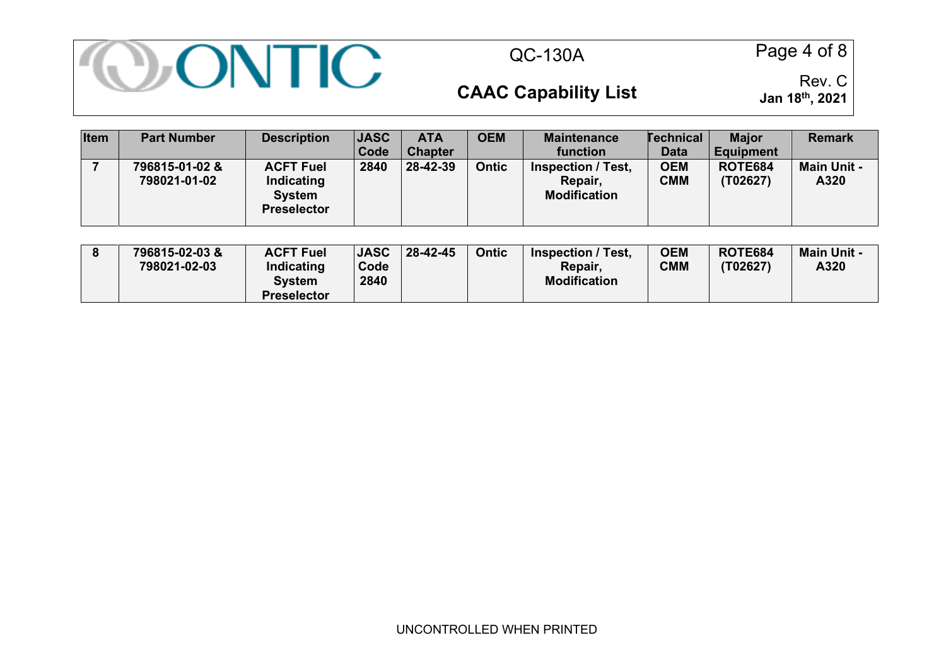

QC-130A Page 4 of 8

# **CAAC Capability List**

| <b>Item</b> | <b>Part Number</b>             | <b>Description</b>                                                    | <b>JASC</b><br>Code | <b>ATA</b><br><b>Chapter</b> | <b>OEM</b>   | <b>Maintenance</b><br>function                              | <b>Technical</b><br><b>Data</b> | <b>Major</b><br><b>Equipment</b> | <b>Remark</b>              |
|-------------|--------------------------------|-----------------------------------------------------------------------|---------------------|------------------------------|--------------|-------------------------------------------------------------|---------------------------------|----------------------------------|----------------------------|
|             | 796815-01-02 &<br>798021-01-02 | <b>ACFT Fuel</b><br>Indicating<br><b>System</b><br><b>Preselector</b> | 2840                | 28-42-39                     | <b>Ontic</b> | <b>Inspection / Test,</b><br>Repair,<br><b>Modification</b> | <b>OEM</b><br><b>CMM</b>        | <b>ROTE684</b><br>(T02627)       | <b>Main Unit -</b><br>A320 |

| <b>Preselector</b> |  | 796815-02-03&<br>798021-02-03 | <b>ACFT Fuel</b><br>Indicating<br>System | <b>JASC</b><br>Code<br>2840 | 28-42-45 | Ontic | Inspection / Test.<br>Repair,<br><b>Modification</b> | <b>OEM</b><br><b>CMM</b> | <b>ROTE684</b><br>(T02627) | <b>Main Unit -</b><br>A320 |
|--------------------|--|-------------------------------|------------------------------------------|-----------------------------|----------|-------|------------------------------------------------------|--------------------------|----------------------------|----------------------------|
|--------------------|--|-------------------------------|------------------------------------------|-----------------------------|----------|-------|------------------------------------------------------|--------------------------|----------------------------|----------------------------|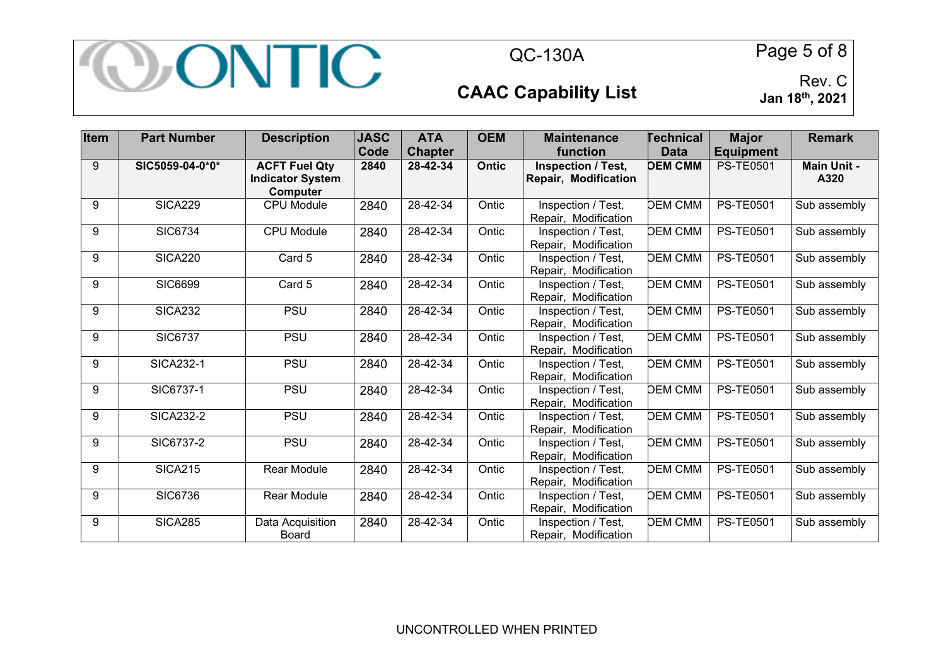

QC-130A Page 5 of 8

# **CAAC Capability List**

| Item | <b>Part Number</b> | <b>Description</b>                                          | <b>JASC</b> | <b>ATA</b>     | <b>OEM</b> | <b>Maintenance</b>                                | <b>Technical</b> | <b>Major</b>     | <b>Remark</b>              |
|------|--------------------|-------------------------------------------------------------|-------------|----------------|------------|---------------------------------------------------|------------------|------------------|----------------------------|
|      |                    |                                                             | Code        | <b>Chapter</b> |            | function                                          | <b>Data</b>      | <b>Equipment</b> |                            |
| 9    | SIC5059-04-0*0*    | <b>ACFT Fuel Qty</b><br><b>Indicator System</b><br>Computer | 2840        | 28-42-34       | Ontic      | <b>Inspection / Test,</b><br>Repair, Modification | <b>DEM CMM</b>   | <b>PS-TE0501</b> | <b>Main Unit -</b><br>A320 |
| 9    | <b>SICA229</b>     | <b>CPU Module</b>                                           | 2840        | 28-42-34       | Ontic      | Inspection / Test,<br>Repair, Modification        | <b>DEM CMM</b>   | <b>PS-TE0501</b> | Sub assembly               |
| 9    | <b>SIC6734</b>     | <b>CPU Module</b>                                           | 2840        | 28-42-34       | Ontic      | Inspection / Test,<br>Repair, Modification        | <b>DEM CMM</b>   | <b>PS-TE0501</b> | Sub assembly               |
| 9    | <b>SICA220</b>     | Card 5                                                      | 2840        | 28-42-34       | Ontic      | Inspection / Test,<br>Repair, Modification        | <b>DEM CMM</b>   | <b>PS-TE0501</b> | Sub assembly               |
| 9    | <b>SIC6699</b>     | Card 5                                                      | 2840        | 28-42-34       | Ontic      | Inspection / Test,<br>Repair, Modification        | <b>DEM CMM</b>   | <b>PS-TE0501</b> | Sub assembly               |
| 9    | <b>SICA232</b>     | <b>PSU</b>                                                  | 2840        | 28-42-34       | Ontic      | Inspection / Test,<br>Repair, Modification        | <b>DEM CMM</b>   | <b>PS-TE0501</b> | Sub assembly               |
| 9    | <b>SIC6737</b>     | <b>PSU</b>                                                  | 2840        | 28-42-34       | Ontic      | Inspection / Test,<br>Repair, Modification        | <b>DEM CMM</b>   | <b>PS-TE0501</b> | Sub assembly               |
| 9    | <b>SICA232-1</b>   | <b>PSU</b>                                                  | 2840        | 28-42-34       | Ontic      | Inspection / Test,<br>Repair, Modification        | <b>DEM CMM</b>   | <b>PS-TE0501</b> | Sub assembly               |
| 9    | SIC6737-1          | <b>PSU</b>                                                  | 2840        | 28-42-34       | Ontic      | Inspection / Test,<br>Repair, Modification        | <b>DEM CMM</b>   | <b>PS-TE0501</b> | Sub assembly               |
| 9    | <b>SICA232-2</b>   | <b>PSU</b>                                                  | 2840        | 28-42-34       | Ontic      | Inspection / Test,<br>Repair, Modification        | <b>DEM CMM</b>   | <b>PS-TE0501</b> | Sub assembly               |
| 9    | SIC6737-2          | <b>PSU</b>                                                  | 2840        | 28-42-34       | Ontic      | Inspection / Test,<br>Repair, Modification        | <b>DEM CMM</b>   | <b>PS-TE0501</b> | Sub assembly               |
| 9    | <b>SICA215</b>     | Rear Module                                                 | 2840        | 28-42-34       | Ontic      | Inspection / Test,<br>Repair, Modification        | <b>DEM CMM</b>   | <b>PS-TE0501</b> | Sub assembly               |
| 9    | <b>SIC6736</b>     | Rear Module                                                 | 2840        | 28-42-34       | Ontic      | Inspection / Test,<br>Repair, Modification        | <b>DEM CMM</b>   | <b>PS-TE0501</b> | Sub assembly               |
| 9    | <b>SICA285</b>     | Data Acquisition<br>Board                                   | 2840        | 28-42-34       | Ontic      | Inspection / Test,<br>Repair, Modification        | <b>DEM CMM</b>   | <b>PS-TE0501</b> | Sub assembly               |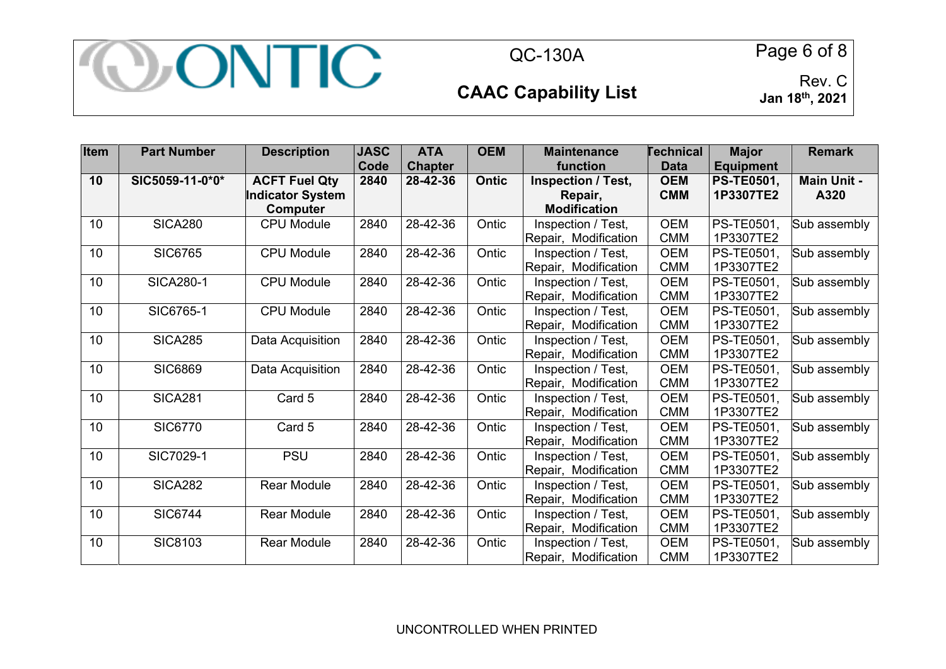

QC-130A Page 6 of 8

### **CAAC Capability List**

| Item | <b>Part Number</b> | <b>Description</b>      | <b>JASC</b> | <b>ATA</b>     | <b>OEM</b>   | <b>Maintenance</b>   | Technical   | <b>Major</b>      | <b>Remark</b>      |
|------|--------------------|-------------------------|-------------|----------------|--------------|----------------------|-------------|-------------------|--------------------|
|      |                    |                         | Code        | <b>Chapter</b> |              | function             | <b>Data</b> | <b>Equipment</b>  |                    |
| 10   | SIC5059-11-0*0*    | <b>ACFT Fuel Qty</b>    | 2840        | 28-42-36       | <b>Ontic</b> | Inspection / Test,   | <b>OEM</b>  | <b>PS-TE0501,</b> | <b>Main Unit -</b> |
|      |                    | <b>Indicator System</b> |             |                |              | Repair,              | <b>CMM</b>  | 1P3307TE2         | A320               |
|      |                    | Computer                |             |                |              | <b>Modification</b>  |             |                   |                    |
| 10   | <b>SICA280</b>     | <b>CPU Module</b>       | 2840        | 28-42-36       | Ontic        | Inspection / Test,   | <b>OEM</b>  | PS-TE0501,        | Sub assembly       |
|      |                    |                         |             |                |              | Repair, Modification | <b>CMM</b>  | 1P3307TE2         |                    |
| 10   | <b>SIC6765</b>     | <b>CPU Module</b>       | 2840        | 28-42-36       | Ontic        | Inspection / Test,   | <b>OEM</b>  | PS-TE0501,        | Sub assembly       |
|      |                    |                         |             |                |              | Repair, Modification | <b>CMM</b>  | 1P3307TE2         |                    |
| 10   | <b>SICA280-1</b>   | <b>CPU Module</b>       | 2840        | 28-42-36       | Ontic        | Inspection / Test,   | <b>OEM</b>  | PS-TE0501,        | Sub assembly       |
|      |                    |                         |             |                |              | Repair, Modification | <b>CMM</b>  | 1P3307TE2         |                    |
| 10   | SIC6765-1          | <b>CPU Module</b>       | 2840        | 28-42-36       | Ontic        | Inspection / Test,   | <b>OEM</b>  | PS-TE0501.        | Sub assembly       |
|      |                    |                         |             |                |              | Repair, Modification | <b>CMM</b>  | 1P3307TE2         |                    |
| 10   | <b>SICA285</b>     | Data Acquisition        | 2840        | 28-42-36       | Ontic        | Inspection / Test,   | <b>OEM</b>  | PS-TE0501,        | Sub assembly       |
|      |                    |                         |             |                |              | Repair, Modification | <b>CMM</b>  | 1P3307TE2         |                    |
| 10   | <b>SIC6869</b>     | Data Acquisition        | 2840        | 28-42-36       | Ontic        | Inspection / Test,   | <b>OEM</b>  | PS-TE0501,        | Sub assembly       |
|      |                    |                         |             |                |              | Repair, Modification | <b>CMM</b>  | 1P3307TE2         |                    |
| 10   | <b>SICA281</b>     | Card 5                  | 2840        | 28-42-36       | Ontic        | Inspection / Test,   | <b>OEM</b>  | PS-TE0501,        | Sub assembly       |
|      |                    |                         |             |                |              | Repair, Modification | <b>CMM</b>  | 1P3307TE2         |                    |
| 10   | <b>SIC6770</b>     | Card 5                  | 2840        | 28-42-36       | Ontic        | Inspection / Test,   | <b>OEM</b>  | PS-TE0501.        | Sub assembly       |
|      |                    |                         |             |                |              | Repair, Modification | <b>CMM</b>  | 1P3307TE2         |                    |
| 10   | SIC7029-1          | <b>PSU</b>              | 2840        | 28-42-36       | Ontic        | Inspection / Test,   | <b>OEM</b>  | PS-TE0501,        | Sub assembly       |
|      |                    |                         |             |                |              | Repair, Modification | <b>CMM</b>  | 1P3307TE2         |                    |
| 10   | <b>SICA282</b>     | <b>Rear Module</b>      | 2840        | 28-42-36       | Ontic        | Inspection / Test,   | <b>OEM</b>  | PS-TE0501,        | Sub assembly       |
|      |                    |                         |             |                |              | Repair, Modification | <b>CMM</b>  | 1P3307TE2         |                    |
| 10   | <b>SIC6744</b>     | <b>Rear Module</b>      | 2840        | 28-42-36       | Ontic        | Inspection / Test,   | <b>OEM</b>  | PS-TE0501,        | Sub assembly       |
|      |                    |                         |             |                |              | Repair, Modification | <b>CMM</b>  | 1P3307TE2         |                    |
| 10   | SIC8103            | <b>Rear Module</b>      | 2840        | 28-42-36       | Ontic        | Inspection / Test,   | <b>OEM</b>  | PS-TE0501,        | Sub assembly       |
|      |                    |                         |             |                |              | Repair, Modification | <b>CMM</b>  | 1P3307TE2         |                    |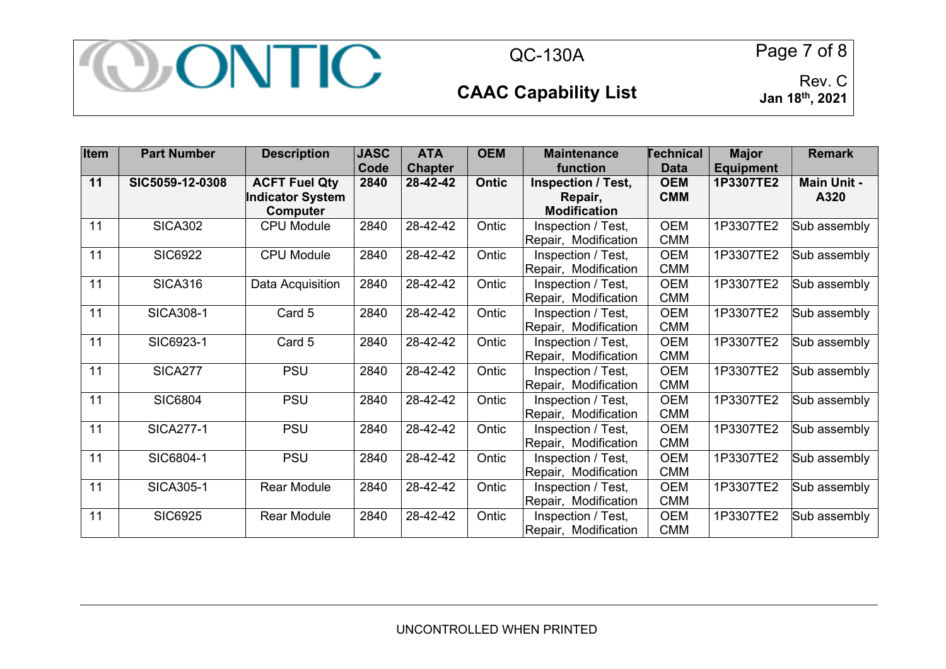

QC-130A Page 7 of 8

**CAAC Capability List** 

| Item | <b>Part Number</b> | <b>Description</b>                                          | <b>JASC</b><br>Code | <b>ATA</b><br><b>Chapter</b> | <b>OEM</b>   | <b>Maintenance</b><br>function                              | <b>Technical</b><br><b>Data</b> | <b>Major</b><br><b>Equipment</b> | <b>Remark</b>              |
|------|--------------------|-------------------------------------------------------------|---------------------|------------------------------|--------------|-------------------------------------------------------------|---------------------------------|----------------------------------|----------------------------|
| 11   | SIC5059-12-0308    | <b>ACFT Fuel Qty</b><br><b>Indicator System</b><br>Computer | 2840                | 28-42-42                     | <b>Ontic</b> | <b>Inspection / Test,</b><br>Repair,<br><b>Modification</b> | <b>OEM</b><br><b>CMM</b>        | 1P3307TE2                        | <b>Main Unit -</b><br>A320 |
| 11   | <b>SICA302</b>     | <b>CPU Module</b>                                           | 2840                | 28-42-42                     | Ontic        | Inspection / Test,<br>Repair, Modification                  | <b>OEM</b><br><b>CMM</b>        | 1P3307TE2                        | Sub assembly               |
| 11   | <b>SIC6922</b>     | <b>CPU Module</b>                                           | 2840                | 28-42-42                     | Ontic        | Inspection / Test,<br>Repair, Modification                  | <b>OEM</b><br><b>CMM</b>        | 1P3307TE2                        | Sub assembly               |
| 11   | <b>SICA316</b>     | Data Acquisition                                            | 2840                | 28-42-42                     | Ontic        | Inspection / Test,<br>Repair, Modification                  | <b>OEM</b><br><b>CMM</b>        | 1P3307TE2                        | Sub assembly               |
| 11   | <b>SICA308-1</b>   | Card 5                                                      | 2840                | 28-42-42                     | Ontic        | Inspection / Test,<br>Repair, Modification                  | <b>OEM</b><br><b>CMM</b>        | 1P3307TE2                        | Sub assembly               |
| 11   | SIC6923-1          | Card 5                                                      | 2840                | 28-42-42                     | Ontic        | Inspection / Test,<br>Repair, Modification                  | <b>OEM</b><br><b>CMM</b>        | 1P3307TE2                        | Sub assembly               |
| 11   | <b>SICA277</b>     | <b>PSU</b>                                                  | 2840                | 28-42-42                     | Ontic        | Inspection / Test,<br>Repair, Modification                  | <b>OEM</b><br><b>CMM</b>        | 1P3307TE2                        | Sub assembly               |
| 11   | <b>SIC6804</b>     | <b>PSU</b>                                                  | 2840                | 28-42-42                     | Ontic        | Inspection / Test,<br>Repair, Modification                  | <b>OEM</b><br><b>CMM</b>        | 1P3307TE2                        | Sub assembly               |
| 11   | <b>SICA277-1</b>   | <b>PSU</b>                                                  | 2840                | 28-42-42                     | Ontic        | Inspection / Test,<br>Repair, Modification                  | <b>OEM</b><br><b>CMM</b>        | 1P3307TE2                        | Sub assembly               |
| 11   | SIC6804-1          | <b>PSU</b>                                                  | 2840                | 28-42-42                     | Ontic        | Inspection / Test,<br>Repair, Modification                  | <b>OEM</b><br><b>CMM</b>        | 1P3307TE2                        | Sub assembly               |
| 11   | <b>SICA305-1</b>   | <b>Rear Module</b>                                          | 2840                | 28-42-42                     | Ontic        | Inspection / Test,<br>Repair, Modification                  | <b>OEM</b><br><b>CMM</b>        | 1P3307TE2                        | Sub assembly               |
| 11   | <b>SIC6925</b>     | <b>Rear Module</b>                                          | 2840                | 28-42-42                     | Ontic        | Inspection / Test,<br>Repair, Modification                  | <b>OEM</b><br><b>CMM</b>        | 1P3307TE2                        | Sub assembly               |